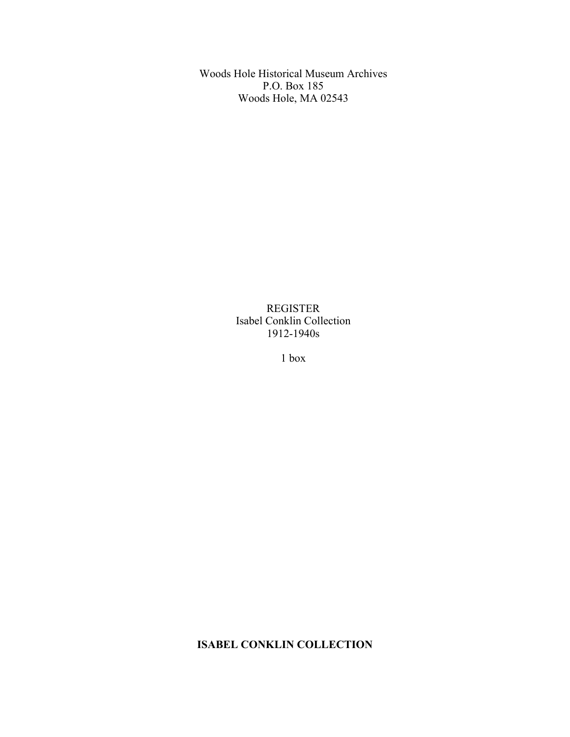Woods Hole Historical Museum Archives P.O. Box 185 Woods Hole, MA 02543

> REGISTER Isabel Conklin Collection 1912-1940s

> > 1 box

**ISABEL CONKLIN COLLECTION**